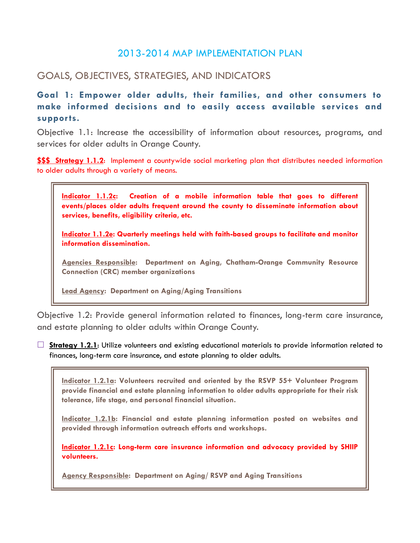# 2013-2014 MAP IMPLEMENTATION PLAN

# GOALS, OBJECTIVES, STRATEGIES, AND INDICATORS

**Goal 1: Empower older adults, their families, and other consumers to make informed decisions and to easily access available services and supports.** 

Objective 1.1: Increase the accessibility of information about resources, programs, and services for older adults in Orange County.

**\$\$\$ Strategy 1.1.2**: Implement a countywide social marketing plan that distributes needed information to older adults through a variety of means.



**Indicator 1.1.2e: Quarterly meetings held with faith-based groups to facilitate and monitor information dissemination.**

**Agencies Responsible: Department on Aging, Chatham-Orange Community Resource Connection (CRC) member organizations**

**Lead Agency: Department on Aging/Aging Transitions**

Objective 1.2: Provide general information related to finances, long-term care insurance, and estate planning to older adults within Orange County.

□ **Strategy 1.2.1**: Utilize volunteers and existing educational materials to provide information related to finances, long-term care insurance, and estate planning to older adults.

**Indicator 1.2.1a: Volunteers recruited and oriented by the RSVP 55+ Volunteer Program provide financial and estate planning information to older adults appropriate for their risk tolerance, life stage, and personal financial situation.**

**Indicator 1.2.1b: Financial and estate planning information posted on websites and provided through information outreach efforts and workshops.**

**Indicator 1.2.1c: Long-term care insurance information and advocacy provided by SHIIP volunteers.**

**Agency Responsible: Department on Aging/ RSVP and Aging Transitions**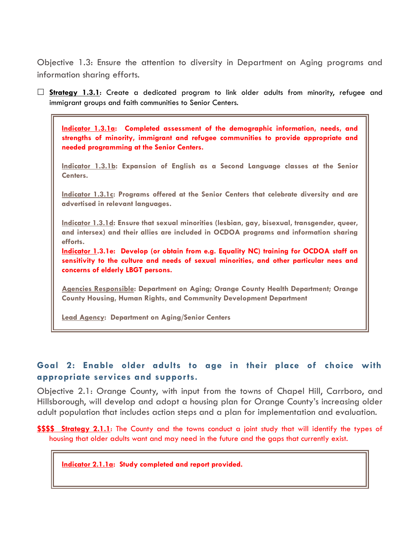Objective 1.3: Ensure the attention to diversity in Department on Aging programs and information sharing efforts.

 **Strategy 1.3.1**: Create a dedicated program to link older adults from minority, refugee and immigrant groups and faith communities to Senior Centers.

**Indicator 1.3.1a: Completed assessment of the demographic information, needs, and strengths of minority, immigrant and refugee communities to provide appropriate and needed programming at the Senior Centers.**

**Indicator 1.3.1b: Expansion of English as a Second Language classes at the Senior Centers.**

**Indicator 1.3.1c: Programs offered at the Senior Centers that celebrate diversity and are advertised in relevant languages.**

**Indicator 1.3.1d: Ensure that sexual minorities (lesbian, gay, bisexual, transgender, queer, and intersex) and their allies are included in OCDOA programs and information sharing efforts.**

**Indicator 1.3.1e: Develop (or obtain from e.g. Equality NC) training for OCDOA staff on sensitivity to the culture and needs of sexual minorities, and other particular nees and concerns of elderly LBGT persons.**

**Agencies Responsible: Department on Aging; Orange County Health Department; Orange County Housing, Human Rights, and Community Development Department**

**Lead Agency: Department on Aging/Senior Centers**

### **Goal 2: Enable older adults to age in their place of choice with appropriate services and supports.**

Objective 2.1: Orange County, with input from the towns of Chapel Hill, Carrboro, and Hillsborough, will develop and adopt a housing plan for Orange County's increasing older adult population that includes action steps and a plan for implementation and evaluation.

**\$\$\$\$ Strategy 2.1.1**: The County and the towns conduct a joint study that will identify the types of housing that older adults want and may need in the future and the gaps that currently exist.

**Indicator 2.1.1a: Study completed and report provided.**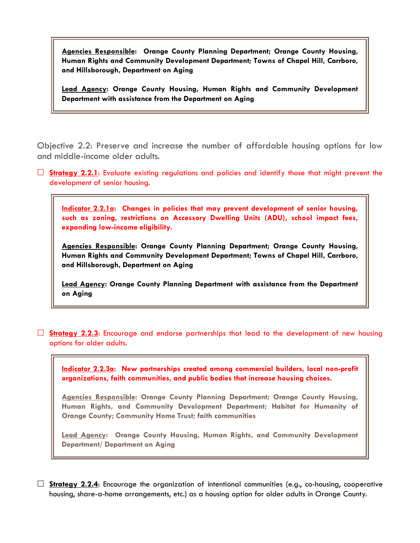**Agencies Responsible: Orange County Planning Department; Orange County Housing, Human Rights and Community Development Department; Towns of Chapel Hill, Carrboro, and Hillsborough, Department on Aging**

**Lead Agency: Orange County Housing, Human Rights and Community Development Department with assistance from the Department on Aging**

Objective 2.2: Preserve and increase the number of affordable housing options for low and middle-income older adults.

**Strategy 2.2.1:** Evaluate existing regulations and policies and identify those that might prevent the development of senior housing.

**Indicator 2.2.1a: Changes in policies that may prevent development of senior housing, such as zoning, restrictions on Accessory Dwelling Units (ADU), school impact fees, expanding low-income eligibility.**

**Agencies Responsible: Orange County Planning Department; Orange County Housing, Human Rights and Community Development Department; Towns of Chapel Hill, Carrboro, and Hillsborough, Department on Aging**

**Lead Agency: Orange County Planning Department with assistance from the Department on Aging**

 **Strategy 2.2.3**: Encourage and endorse partnerships that lead to the development of new housing options for older adults.

**Indicator 2.2.3a: New partnerships created among commercial builders, local non-profit organizations, faith communities, and public bodies that increase housing choices.**

**Agencies Responsible: Orange County Planning Department; Orange County Housing, Human Rights, and Community Development Department; Habitat for Humanity of Orange County; Community Home Trust; faith communities**

**Lead Agency: Orange County Housing, Human Rights, and Community Development Department/ Department on Aging**

 $\Box$  **Strategy 2.2.4:** Encourage the organization of intentional communities (e.g., co-housing, cooperative housing, share-a-home arrangements, etc.) as a housing option for older adults in Orange County.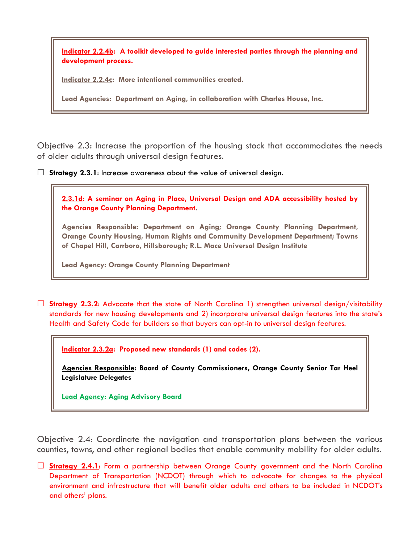**Indicator 2.2.4b: A toolkit developed to guide interested parties through the planning and development process.**

**Indicator 2.2.4c: More intentional communities created.**

**Lead Agencies: Department on Aging, in collaboration with Charles House, Inc.**

Objective 2.3: Increase the proportion of the housing stock that accommodates the needs of older adults through universal design features.

**Strategy 2.3.1:** Increase awareness about the value of universal design.



**Lead Agency: Orange County Planning Department**

**Strategy 2.3.2:** Advocate that the state of North Carolina 1) strengthen universal design/visitability standards for new housing developments and 2) incorporate universal design features into the state's Health and Safety Code for builders so that buyers can opt-in to universal design features.

**Indicator 2.3.2a: Proposed new standards (1) and codes (2).**

**Agencies Responsible: Board of County Commissioners, Orange County Senior Tar Heel Legislature Delegates**

**Lead Agency: Aging Advisory Board**

Objective 2.4: Coordinate the navigation and transportation plans between the various counties, towns, and other regional bodies that enable community mobility for older adults.

 **Strategy 2.4.1**: Form a partnership between Orange County government and the North Carolina Department of Transportation (NCDOT) through which to advocate for changes to the physical environment and infrastructure that will benefit older adults and others to be included in NCDOT's and others' plans.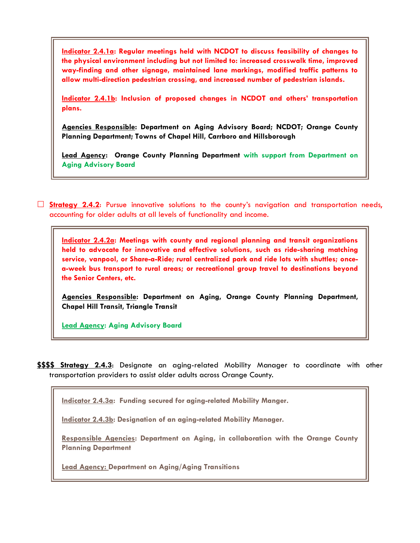**Indicator 2.4.1a: Regular meetings held with NCDOT to discuss feasibility of changes to the physical environment including but not limited to: increased crosswalk time, improved way-finding and other signage, maintained lane markings, modified traffic patterns to allow multi-direction pedestrian crossing, and increased number of pedestrian islands.** 

**Indicator 2.4.1b: Inclusion of proposed changes in NCDOT and others' transportation plans.** 

**Agencies Responsible: Department on Aging Advisory Board; NCDOT; Orange County Planning Department; Towns of Chapel Hill, Carrboro and Hillsborough**

**Lead Agency: Orange County Planning Department with support from Department on Aging Advisory Board**

 **Strategy 2.4.2**: Pursue innovative solutions to the county's navigation and transportation needs, accounting for older adults at all levels of functionality and income.

**Indicator 2.4.2a: Meetings with county and regional planning and transit organizations held to advocate for innovative and effective solutions, such as ride-sharing matching service, vanpool, or Share-a-Ride; rural centralized park and ride lots with shuttles; oncea-week bus transport to rural areas; or recreational group travel to destinations beyond the Senior Centers, etc.**

**Agencies Responsible: Department on Aging, Orange County Planning Department, Chapel Hill Transit, Triangle Transit** 

**Lead Agency: Aging Advisory Board**

**\$\$\$\$ Strategy 2.4.3**: Designate an aging-related Mobility Manager to coordinate with other transportation providers to assist older adults across Orange County.

**Indicator 2.4.3a: Funding secured for aging-related Mobility Manger.**

**Indicator 2.4.3b: Designation of an aging-related Mobility Manager.** 

**Responsible Agencies: Department on Aging, in collaboration with the Orange County Planning Department**

**Lead Agency: Department on Aging/Aging Transitions**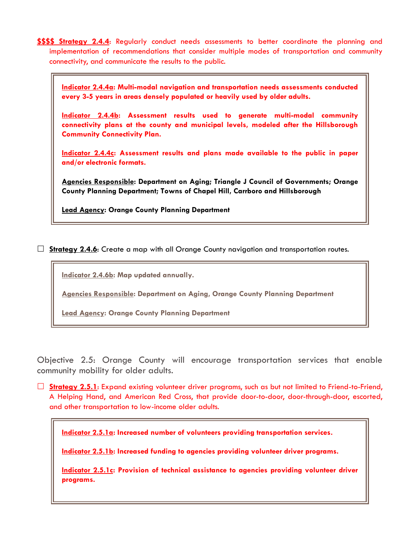**\$\$\$\$ Strategy 2.4.4**: Regularly conduct needs assessments to better coordinate the planning and implementation of recommendations that consider multiple modes of transportation and community connectivity, and communicate the results to the public.

**Indicator 2.4.4a: Multi-modal navigation and transportation needs assessments conducted every 3-5 years in areas densely populated or heavily used by older adults.**

**Indicator 2.4.4b: Assessment results used to generate multi-modal community connectivity plans at the county and municipal levels, modeled after the Hillsborough Community Connectivity Plan.**

**Indicator 2.4.4c: Assessment results and plans made available to the public in paper and/or electronic formats.** 

**Agencies Responsible: Department on Aging; Triangle J Council of Governments; Orange County Planning Department; Towns of Chapel Hill, Carrboro and Hillsborough**

**Lead Agency: Orange County Planning Department**

□ **Strategy 2.4.6**: Create a map with all Orange County navigation and transportation routes.

**Indicator 2.4.6b: Map updated annually.** 

**Agencies Responsible: Department on Aging, Orange County Planning Department**

**Lead Agency: Orange County Planning Department**

Objective 2.5: Orange County will encourage transportation services that enable community mobility for older adults.

 **Strategy 2.5.1**: Expand existing volunteer driver programs, such as but not limited to Friend-to-Friend, A Helping Hand, and American Red Cross, that provide door-to-door, door-through-door, escorted, and other transportation to low-income older adults.

**Indicator 2.5.1a: Increased number of volunteers providing transportation services.**

**Indicator 2.5.1b: Increased funding to agencies providing volunteer driver programs.**

**Indicator 2.5.1c: Provision of technical assistance to agencies providing volunteer driver programs.**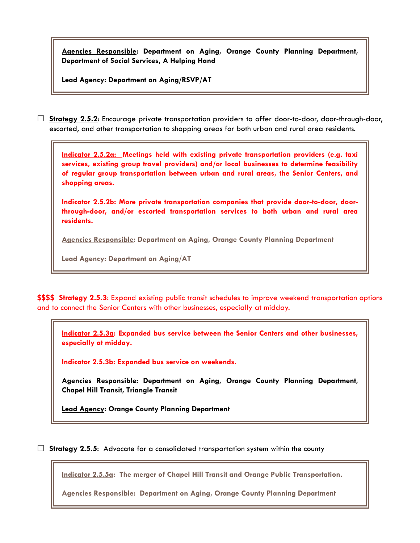**Agencies Responsible: Department on Aging, Orange County Planning Department, Department of Social Services, A Helping Hand**

**Lead Agency: Department on Aging/RSVP/AT**

 **Strategy 2.5.2**: Encourage private transportation providers to offer door-to-door, door-through-door, escorted, and other transportation to shopping areas for both urban and rural area residents.

**Indicator 2.5.2a: Meetings held with existing private transportation providers (e.g. taxi services, existing group travel providers) and/or local businesses to determine feasibility of regular group transportation between urban and rural areas, the Senior Centers, and shopping areas.**

**Indicator 2.5.2b: More private transportation companies that provide door-to-door, doorthrough-door, and/or escorted transportation services to both urban and rural area residents.** 

**Agencies Responsible: Department on Aging, Orange County Planning Department**

**Lead Agency: Department on Aging/AT**

**\$\$\$\$ Strategy 2.5.3**: Expand existing public transit schedules to improve weekend transportation options and to connect the Senior Centers with other businesses, especially at midday.

**Indicator 2.5.3a: Expanded bus service between the Senior Centers and other businesses, especially at midday.**

**Indicator 2.5.3b: Expanded bus service on weekends.**

**Agencies Responsible: Department on Aging, Orange County Planning Department, Chapel Hill Transit, Triangle Transit** 

**Lead Agency: Orange County Planning Department**

**Strategy 2.5.5:** Advocate for a consolidated transportation system within the county

**Indicator 2.5.5a: The merger of Chapel Hill Transit and Orange Public Transportation.**

**Agencies Responsible: Department on Aging, Orange County Planning Department**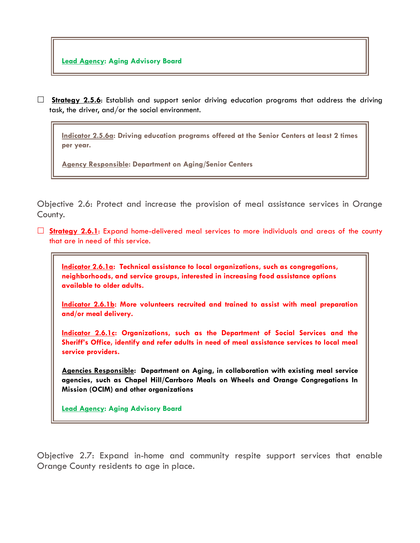□ Strategy 2.5.6: Establish and support senior driving education programs that address the driving task, the driver, and/or the social environment.

**Indicator 2.5.6a: Driving education programs offered at the Senior Centers at least 2 times per year.**

**Agency Responsible: Department on Aging/Senior Centers**

Objective 2.6: Protect and increase the provision of meal assistance services in Orange County.

 **Strategy 2.6.1**: Expand home-delivered meal services to more individuals and areas of the county that are in need of this service.

**Indicator 2.6.1a: Technical assistance to local organizations, such as congregations, neighborhoods, and service groups, interested in increasing food assistance options available to older adults.**

**Indicator 2.6.1b: More volunteers recruited and trained to assist with meal preparation and/or meal delivery.**

**Indicator 2.6.1c: Organizations, such as the Department of Social Services and the Sheriff's Office, identify and refer adults in need of meal assistance services to local meal service providers.** 

**Agencies Responsible: Department on Aging, in collaboration with existing meal service agencies, such as Chapel Hill/Carrboro Meals on Wheels and Orange Congregations In Mission (OCIM) and other organizations**

**Lead Agency: Aging Advisory Board**

Objective 2.7: Expand in-home and community respite support services that enable Orange County residents to age in place.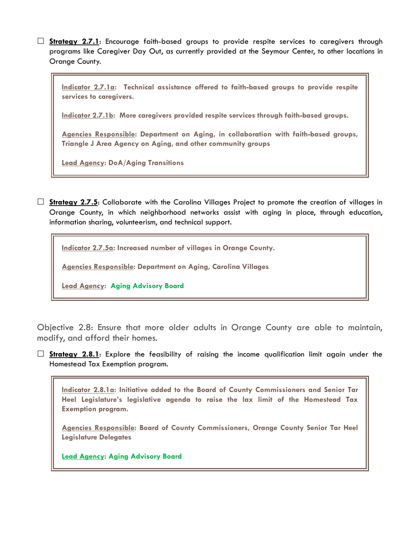**Strategy 2.7.1**: Encourage faith-based groups to provide respite services to caregivers through programs like Caregiver Day Out, as currently provided at the Seymour Center, to other locations in Orange County.

**Indicator 2.7.1a: Technical assistance offered to faith-based groups to provide respite services to caregivers.**

**Indicator 2.7.1b: More caregivers provided respite services through faith-based groups.**

**Agencies Responsible: Department on Aging, in collaboration with faith-based groups, Triangle J Area Agency on Aging, and other community groups**

**Lead Agency: DoA/Aging Transitions**

 **Strategy 2.7.5**: Collaborate with the Carolina Villages Project to promote the creation of villages in Orange County, in which neighborhood networks assist with aging in place, through education, information sharing, volunteerism, and technical support.

**Indicator 2.7.5a: Increased number of villages in Orange County.**

**Agencies Responsible: Department on Aging, Carolina Villages** 

**Lead Agency: Aging Advisory Board**

Objective 2.8: Ensure that more older adults in Orange County are able to maintain, modify, and afford their homes.

 **Strategy 2.8.1**: Explore the feasibility of raising the income qualification limit again under the Homestead Tax Exemption program.

**Indicator 2.8.1a: Initiative added to the Board of County Commissioners and Senior Tar Heel Legislature's legislative agenda to raise the lax limit of the Homestead Tax Exemption program.**

**Agencies Responsible: Board of County Commissioners, Orange County Senior Tar Heel Legislature Delegates**

**Lead Agency: Aging Advisory Board**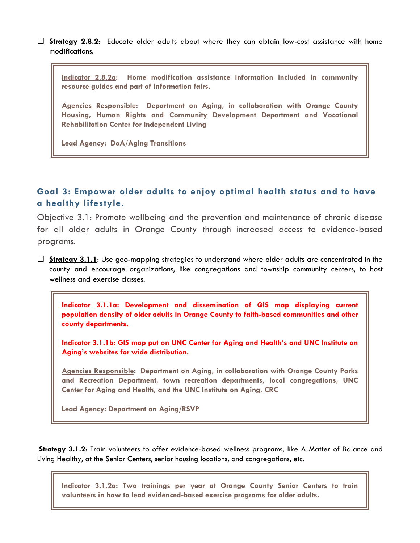**Strategy 2.8.2:** Educate older adults about where they can obtain low-cost assistance with home modifications.

**Indicator 2.8.2a: Home modification assistance information included in community resource guides and part of information fairs.**

**Agencies Responsible: Department on Aging, in collaboration with Orange County Housing, Human Rights and Community Development Department and Vocational Rehabilitation Center for Independent Living**

**Lead Agency: DoA/Aging Transitions**

## **Goal 3: Empower older adults to enjoy optimal health status and to have a healthy lifestyle.**

Objective 3.1: Promote wellbeing and the prevention and maintenance of chronic disease for all older adults in Orange County through increased access to evidence-based programs.

 **Strategy 3.1.1**: Use geo-mapping strategies to understand where older adults are concentrated in the county and encourage organizations, like congregations and township community centers, to host wellness and exercise classes.

**Indicator 3.1.1a: Development and dissemination of GIS map displaying current population density of older adults in Orange County to faith-based communities and other county departments.**

**Indicator 3.1.1b: GIS map put on UNC Center for Aging and Health's and UNC Institute on Aging's websites for wide distribution.**

**Agencies Responsible: Department on Aging, in collaboration with Orange County Parks and Recreation Department, town recreation departments, local congregations, UNC Center for Aging and Health, and the UNC Institute on Aging, CRC**

**Lead Agency: Department on Aging/RSVP**

**Strategy 3.1.2**: Train volunteers to offer evidence-based wellness programs, like A Matter of Balance and Living Healthy, at the Senior Centers, senior housing locations, and congregations, etc.

**Indicator 3.1.2a: Two trainings per year at Orange County Senior Centers to train volunteers in how to lead evidenced-based exercise programs for older adults.**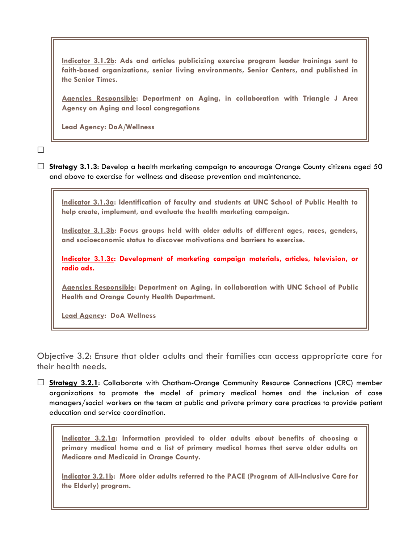**Indicator 3.1.2b: Ads and articles publicizing exercise program leader trainings sent to faith-based organizations, senior living environments, Senior Centers, and published in the Senior Times.**

**Agencies Responsible: Department on Aging, in collaboration with Triangle J Area Agency on Aging and local congregations**

**Lead Agency: DoA/Wellness**

 $\Box$ 

 **Strategy 3.1.3**: Develop a health marketing campaign to encourage Orange County citizens aged 50 and above to exercise for wellness and disease prevention and maintenance.

**Indicator 3.1.3a: Identification of faculty and students at UNC School of Public Health to help create, implement, and evaluate the health marketing campaign.**

**Indicator 3.1.3b: Focus groups held with older adults of different ages, races, genders, and socioeconomic status to discover motivations and barriers to exercise.**

**Indicator 3.1.3c: Development of marketing campaign materials, articles, television, or radio ads.**

**Agencies Responsible: Department on Aging, in collaboration with UNC School of Public Health and Orange County Health Department.** 

**Lead Agency: DoA Wellness**

Objective 3.2: Ensure that older adults and their families can access appropriate care for their health needs.

 **Strategy 3.2.1**: Collaborate with Chatham-Orange Community Resource Connections (CRC) member organizations to promote the model of primary medical homes and the inclusion of case managers/social workers on the team at public and private primary care practices to provide patient education and service coordination.

**Indicator 3.2.1a: Information provided to older adults about benefits of choosing a primary medical home and a list of primary medical homes that serve older adults on Medicare and Medicaid in Orange County.**

**Indicator 3.2.1b: More older adults referred to the PACE (Program of All-Inclusive Care for the Elderly) program.**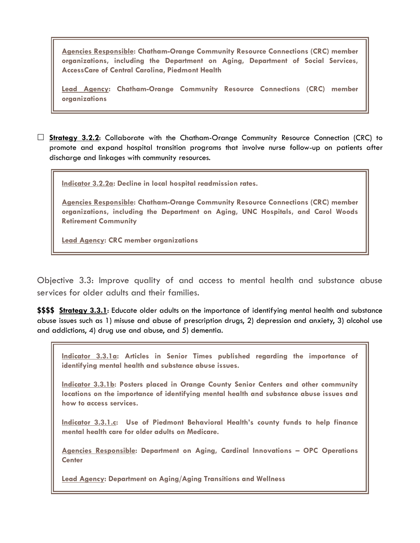**Agencies Responsible: Chatham-Orange Community Resource Connections (CRC) member organizations, including the Department on Aging, Department of Social Services, AccessCare of Central Carolina, Piedmont Health** 

**Lead Agency: Chatham-Orange Community Resource Connections (CRC) member organizations**

 **Strategy 3.2.2**: Collaborate with the Chatham-Orange Community Resource Connection (CRC) to promote and expand hospital transition programs that involve nurse follow-up on patients after discharge and linkages with community resources.

**Indicator 3.2.2a: Decline in local hospital readmission rates.**

**Agencies Responsible: Chatham-Orange Community Resource Connections (CRC) member organizations, including the Department on Aging, UNC Hospitals, and Carol Woods Retirement Community**

**Lead Agency: CRC member organizations**

Objective 3.3: Improve quality of and access to mental health and substance abuse services for older adults and their families.

**\$\$\$\$ Strategy 3.3.1**: Educate older adults on the importance of identifying mental health and substance abuse issues such as 1) misuse and abuse of prescription drugs, 2) depression and anxiety, 3) alcohol use and addictions, 4) drug use and abuse, and 5) dementia.

**Indicator 3.3.1a: Articles in Senior Times published regarding the importance of identifying mental health and substance abuse issues.**

**Indicator 3.3.1b: Posters placed in Orange County Senior Centers and other community locations on the importance of identifying mental health and substance abuse issues and how to access services.**

**Indicator 3.3.1.c: Use of Piedmont Behavioral Health's county funds to help finance mental health care for older adults on Medicare.**

**Agencies Responsible: Department on Aging, Cardinal Innovations – OPC Operations Center**

**Lead Agency: Department on Aging/Aging Transitions and Wellness**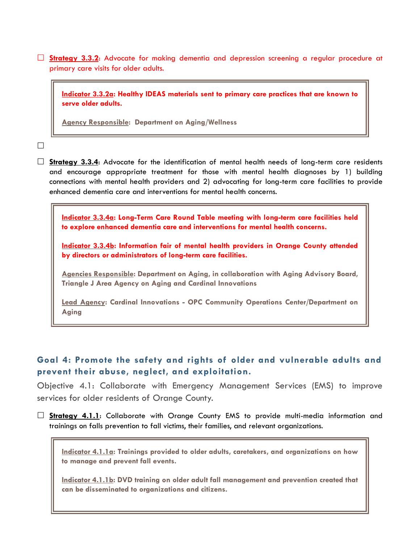**Strategy 3.3.2**: Advocate for making dementia and depression screening a regular procedure at primary care visits for older adults.

**Indicator 3.3.2a: Healthy IDEAS materials sent to primary care practices that are known to serve older adults.**

**Agency Responsible: Department on Aging/Wellness**

 $\Box$ 

□ Strategy 3.3.4: Advocate for the identification of mental health needs of long-term care residents and encourage appropriate treatment for those with mental health diagnoses by 1) building connections with mental health providers and 2) advocating for long-term care facilities to provide enhanced dementia care and interventions for mental health concerns.

**Indicator 3.3.4a: Long-Term Care Round Table meeting with long-term care facilities held to explore enhanced dementia care and interventions for mental health concerns.**

**Indicator 3.3.4b: Information fair of mental health providers in Orange County attended by directors or administrators of long-term care facilities.**

**Agencies Responsible: Department on Aging, in collaboration with Aging Advisory Board, Triangle J Area Agency on Aging and Cardinal Innovations**

**Lead Agency: Cardinal Innovations - OPC Community Operations Center/Department on Aging**

### **Goal 4: Promote the safety and rights of older and vulnerable adults and prevent their abuse, neglect, and exploitation.**

Objective 4.1: Collaborate with Emergency Management Services (EMS) to improve services for older residents of Orange County.

 **Strategy 4.1.1**: Collaborate with Orange County EMS to provide multi-media information and trainings on falls prevention to fall victims, their families, and relevant organizations.

**Indicator 4.1.1a: Trainings provided to older adults, caretakers, and organizations on how to manage and prevent fall events.**

**Indicator 4.1.1b: DVD training on older adult fall management and prevention created that can be disseminated to organizations and citizens.**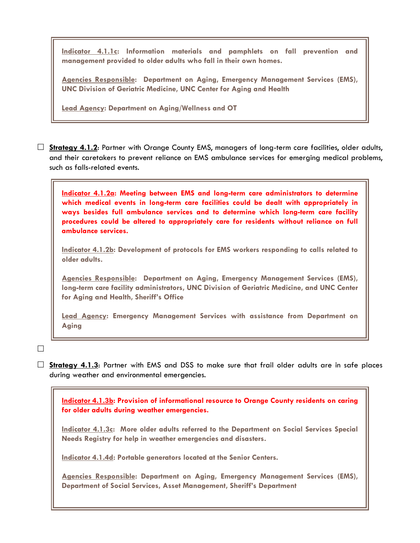**Indicator 4.1.1c: Information materials and pamphlets on fall prevention and management provided to older adults who fall in their own homes.**

**Agencies Responsible: Department on Aging, Emergency Management Services (EMS), UNC Division of Geriatric Medicine, UNC Center for Aging and Health**

**Lead Agency: Department on Aging/Wellness and OT**

 **Strategy 4.1.2**: Partner with Orange County EMS, managers of long-term care facilities, older adults, and their caretakers to prevent reliance on EMS ambulance services for emerging medical problems, such as falls-related events.

**Indicator 4.1.2a: Meeting between EMS and long-term care administrators to determine which medical events in long-term care facilities could be dealt with appropriately in ways besides full ambulance services and to determine which long-term care facility procedures could be altered to appropriately care for residents without reliance on full ambulance services.**

**Indicator 4.1.2b: Development of protocols for EMS workers responding to calls related to older adults.**

**Agencies Responsible: Department on Aging, Emergency Management Services (EMS), long-term care facility administrators, UNC Division of Geriatric Medicine, and UNC Center for Aging and Health, Sheriff's Office**

**Lead Agency: Emergency Management Services with assistance from Department on Aging**

 $\Box$ 

 **Strategy 4.1.3**: Partner with EMS and DSS to make sure that frail older adults are in safe places during weather and environmental emergencies.

**Indicator 4.1.3b: Provision of informational resource to Orange County residents on caring for older adults during weather emergencies.** 

**Indicator 4.1.3c: More older adults referred to the Department on Social Services Special Needs Registry for help in weather emergencies and disasters.**

**Indicator 4.1.4d: Portable generators located at the Senior Centers.**

**Agencies Responsible: Department on Aging, Emergency Management Services (EMS), Department of Social Services, Asset Management, Sheriff's Department**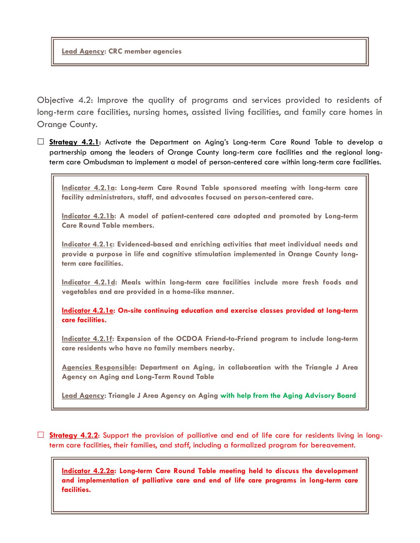#### **Lead Agency: CRC member agencies**

Objective 4.2: Improve the quality of programs and services provided to residents of long-term care facilities, nursing homes, assisted living facilities, and family care homes in Orange County.

 **Strategy 4.2.1**: Activate the Department on Aging's Long-term Care Round Table to develop a partnership among the leaders of Orange County long-term care facilities and the regional longterm care Ombudsman to implement a model of person-centered care within long-term care facilities.

**Indicator 4.2.1a: Long-term Care Round Table sponsored meeting with long-term care facility administrators, staff, and advocates focused on person-centered care.**

**Indicator 4.2.1b: A model of patient-centered care adopted and promoted by Long-term Care Round Table members.**

**Indicator 4.2.1c: Evidenced-based and enriching activities that meet individual needs and provide a purpose in life and cognitive stimulation implemented in Orange County longterm care facilities.**

**Indicator 4.2.1d: Meals within long-term care facilities include more fresh foods and vegetables and are provided in a home-like manner.**

**Indicator 4.2.1e: On-site continuing education and exercise classes provided at long-term care facilities.**

**Indicator 4.2.1f: Expansion of the OCDOA Friend-to-Friend program to include long-term care residents who have no family members nearby.**

**Agencies Responsible: Department on Aging, in collaboration with the Triangle J Area Agency on Aging and Long-Term Round Table**

**Lead Agency: Triangle J Area Agency on Aging with help from the Aging Advisory Board**

 **Strategy 4.2.2**: Support the provision of palliative and end of life care for residents living in longterm care facilities, their families, and staff, including a formalized program for bereavement.

**Indicator 4.2.2a: Long-term Care Round Table meeting held to discuss the development and implementation of palliative care and end of life care programs in long-term care facilities.**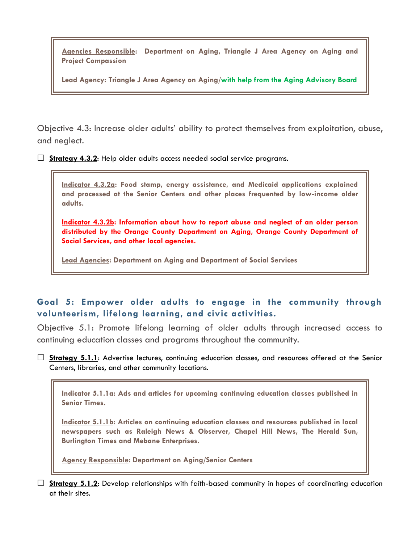**Agencies Responsible: Department on Aging, Triangle J Area Agency on Aging and Project Compassion**

**Lead Agency: Triangle J Area Agency on Aging/with help from the Aging Advisory Board**

Objective 4.3: Increase older adults' ability to protect themselves from exploitation, abuse, and neglect.

□ **Strategy 4.3.2**: Help older adults access needed social service programs.

**Indicator 4.3.2a: Food stamp, energy assistance, and Medicaid applications explained and processed at the Senior Centers and other places frequented by low-income older adults.**

**Indicator 4.3.2b: Information about how to report abuse and neglect of an older person distributed by the Orange County Department on Aging, Orange County Department of Social Services, and other local agencies.**

**Lead Agencies: Department on Aging and Department of Social Services**

## **Goal 5: Empower older adults to engage in the community through volunteerism, lifelong learning, and civic activities.**

Objective 5.1: Promote lifelong learning of older adults through increased access to continuing education classes and programs throughout the community.

**Strategy 5.1.1**: Advertise lectures, continuing education classes, and resources offered at the Senior Centers, libraries, and other community locations.

**Indicator 5.1.1a: Ads and articles for upcoming continuing education classes published in Senior Times.**

**Indicator 5.1.1b: Articles on continuing education classes and resources published in local newspapers such as Raleigh News & Observer, Chapel Hill News, The Herald Sun, Burlington Times and Mebane Enterprises.**

**Agency Responsible: Department on Aging/Senior Centers**

 **Strategy 5.1.2**: Develop relationships with faith-based community in hopes of coordinating education at their sites.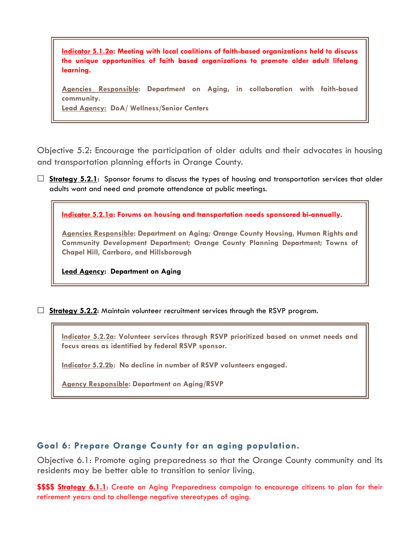**Indicator 5.1.2a: Meeting with local coalitions of faith-based organizations held to discuss the unique opportunities of faith based organizations to promote older adult lifelong learning.**

**Agencies Responsible: Department on Aging, in collaboration with faith-based community. Lead Agency: DoA/ Wellness/Senior Centers**

Objective 5.2: Encourage the participation of older adults and their advocates in housing and transportation planning efforts in Orange County.

 $\Box$  **<u>Strategy 5.2.1</u>:** Sponsor forums to discuss the types of housing and transportation services that older adults want and need and promote attendance at public meetings.

**Indicator 5.2.1a: Forums on housing and transportation needs sponsored bi-annually.** 

**Agencies Responsible: Department on Aging; Orange County Housing, Human Rights and Community Development Department; Orange County Planning Department; Towns of Chapel Hill, Carrboro, and Hillsborough**

**Lead Agency: Department on Aging**

**Strategy 5.2.2:** Maintain volunteer recruitment services through the RSVP program.

**Indicator 5.2.2a: Volunteer services through RSVP prioritized based on unmet needs and focus areas as identified by federal RSVP sponsor.**

**Indicator 5.2.2b: No decline in number of RSVP volunteers engaged.**

**Agency Responsible: Department on Aging/RSVP**

#### **Goal 6: Prepare Orange County for an aging population.**

Objective 6.1: Promote aging preparedness so that the Orange County community and its residents may be better able to transition to senior living.

**\$\$\$\$ Strategy 6.1.1**: Create an Aging Preparedness campaign to encourage citizens to plan for their retirement years and to challenge negative stereotypes of aging.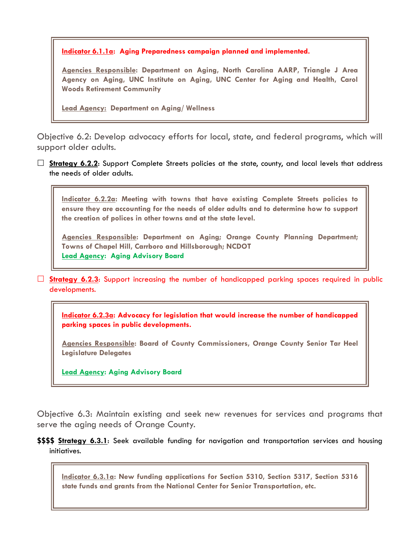**Indicator 6.1.1a: Aging Preparedness campaign planned and implemented.**

**Agencies Responsible: Department on Aging, North Carolina AARP, Triangle J Area Agency on Aging, UNC Institute on Aging, UNC Center for Aging and Health, Carol Woods Retirement Community** 

**Lead Agency: Department on Aging/ Wellness**

Objective 6.2: Develop advocacy efforts for local, state, and federal programs, which will support older adults.

**Strategy 6.2.2:** Support Complete Streets policies at the state, county, and local levels that address the needs of older adults.

**Indicator 6.2.2a: Meeting with towns that have existing Complete Streets policies to ensure they are accounting for the needs of older adults and to determine how to support the creation of polices in other towns and at the state level.** 

**Agencies Responsible: Department on Aging; Orange County Planning Department; Towns of Chapel Hill, Carrboro and Hillsborough; NCDOT Lead Agency: Aging Advisory Board**

**Strategy 6.2.3:** Support increasing the number of handicapped parking spaces required in public developments.

**Indicator 6.2.3a: Advocacy for legislation that would increase the number of handicapped parking spaces in public developments.**

**Agencies Responsible: Board of County Commissioners, Orange County Senior Tar Heel Legislature Delegates**

**Lead Agency: Aging Advisory Board**

Objective 6.3: Maintain existing and seek new revenues for services and programs that serve the aging needs of Orange County.

**\$\$\$\$ Strategy 6.3.1**: Seek available funding for navigation and transportation services and housing initiatives.

**Indicator 6.3.1a: New funding applications for Section 5310, Section 5317, Section 5316 state funds and grants from the National Center for Senior Transportation, etc.**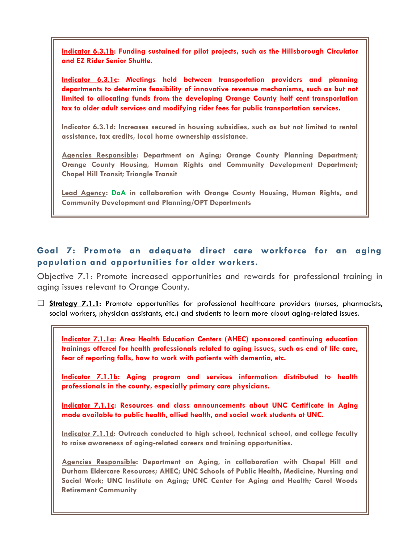**Indicator 6.3.1b: Funding sustained for pilot projects, such as the Hillsborough Circulator and EZ Rider Senior Shuttle.** 

**Indicator 6.3.1c: Meetings held between transportation providers and planning departments to determine feasibility of innovative revenue mechanisms, such as but not limited to allocating funds from the developing Orange County half cent transportation tax to older adult services and modifying rider fees for public transportation services.** 

**Indicator 6.3.1d: Increases secured in housing subsidies, such as but not limited to rental assistance, tax credits, local home ownership assistance.**

**Agencies Responsible: Department on Aging; Orange County Planning Department; Orange County Housing, Human Rights and Community Development Department; Chapel Hill Transit; Triangle Transit**

**Lead Agency: DoA in collaboration with Orange County Housing, Human Rights, and Community Development and Planning/OPT Departments**

# **Goal 7: Promote an adequate direct care workforce for an aging population and opportunities for older workers.**

Objective 7.1: Promote increased opportunities and rewards for professional training in aging issues relevant to Orange County.

 **Strategy 7.1.1**: Promote opportunities for professional healthcare providers (nurses, pharmacists, social workers, physician assistants, etc.) and students to learn more about aging-related issues.

**Indicator 7.1.1a: Area Health Education Centers (AHEC) sponsored continuing education trainings offered for health professionals related to aging issues, such as end of life care, fear of reporting falls, how to work with patients with dementia, etc.**

**Indicator 7.1.1b: Aging program and services information distributed to health professionals in the county, especially primary care physicians.**

**Indicator 7.1.1c: Resources and class announcements about UNC Certificate in Aging made available to public health, allied health, and social work students at UNC.** 

**Indicator 7.1.1d: Outreach conducted to high school, technical school, and college faculty to raise awareness of aging-related careers and training opportunities.**

**Agencies Responsible: Department on Aging, in collaboration with Chapel Hill and Durham Eldercare Resources; AHEC; UNC Schools of Public Health, Medicine, Nursing and Social Work; UNC Institute on Aging; UNC Center for Aging and Health; Carol Woods Retirement Community**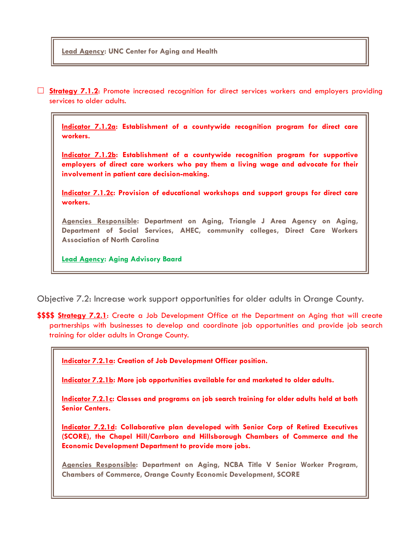#### **Lead Agency: UNC Center for Aging and Health**

 **Strategy 7.1.2**: Promote increased recognition for direct services workers and employers providing services to older adults.

**Indicator 7.1.2a: Establishment of a countywide recognition program for direct care workers.**

**Indicator 7.1.2b: Establishment of a countywide recognition program for supportive employers of direct care workers who pay them a living wage and advocate for their involvement in patient care decision-making.**

**Indicator 7.1.2c: Provision of educational workshops and support groups for direct care workers.**

**Agencies Responsible: Department on Aging, Triangle J Area Agency on Aging, Department of Social Services, AHEC, community colleges, Direct Care Workers Association of North Carolina**

**Lead Agency: Aging Advisory Baard**

Objective 7.2: Increase work support opportunities for older adults in Orange County.

**\$\$\$\$ Strategy 7.2.1**: Create a Job Development Office at the Department on Aging that will create partnerships with businesses to develop and coordinate job opportunities and provide job search training for older adults in Orange County.

**Indicator 7.2.1a: Creation of Job Development Officer position.**

**Indicator 7.2.1b: More job opportunities available for and marketed to older adults.**

**Indicator 7.2.1c: Classes and programs on job search training for older adults held at both Senior Centers.**

**Indicator 7.2.1d: Collaborative plan developed with Senior Corp of Retired Executives (SCORE), the Chapel Hill/Carrboro and Hillsborough Chambers of Commerce and the Economic Development Department to provide more jobs.**

**Agencies Responsible: Department on Aging, NCBA Title V Senior Worker Program, Chambers of Commerce, Orange County Economic Development, SCORE**